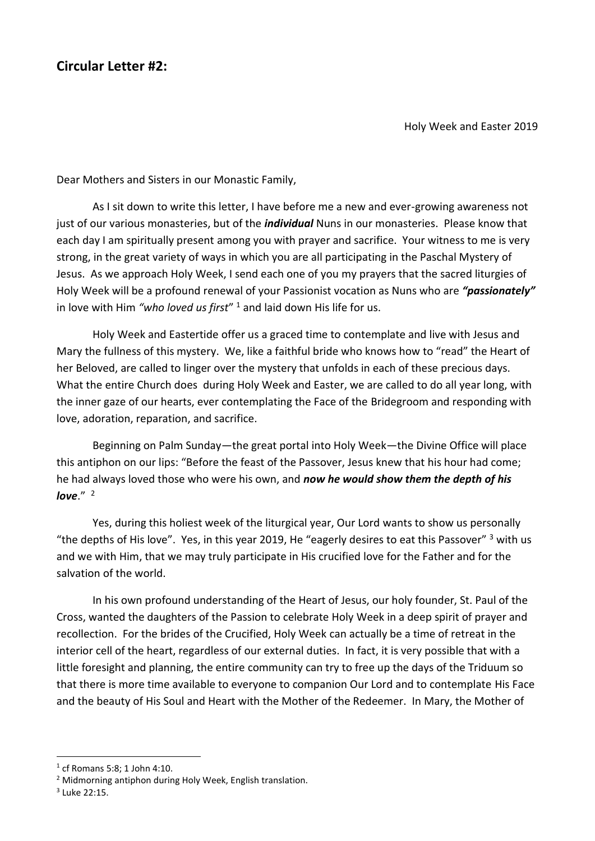## **Circular Letter #2:**

Holy Week and Easter 2019

Dear Mothers and Sisters in our Monastic Family,

As I sit down to write this letter, I have before me a new and ever-growing awareness not just of our various monasteries, but of the *individual* Nuns in our monasteries. Please know that each day I am spiritually present among you with prayer and sacrifice. Your witness to me is very strong, in the great variety of ways in which you are all participating in the Paschal Mystery of Jesus. As we approach Holy Week, I send each one of you my prayers that the sacred liturgies of Holy Week will be a profound renewal of your Passionist vocation as Nuns who are *"passionately"* in love with Him *"who loved us first*" <sup>1</sup> and laid down His life for us.

Holy Week and Eastertide offer us a graced time to contemplate and live with Jesus and Mary the fullness of this mystery. We, like a faithful bride who knows how to "read" the Heart of her Beloved, are called to linger over the mystery that unfolds in each of these precious days. What the entire Church does during Holy Week and Easter, we are called to do all year long, with the inner gaze of our hearts, ever contemplating the Face of the Bridegroom and responding with love, adoration, reparation, and sacrifice.

Beginning on Palm Sunday—the great portal into Holy Week—the Divine Office will place this antiphon on our lips: "Before the feast of the Passover, Jesus knew that his hour had come; he had always loved those who were his own, and *now he would show them the depth of his love*." <sup>2</sup>

Yes, during this holiest week of the liturgical year, Our Lord wants to show us personally "the depths of His love". Yes, in this year 2019, He "eagerly desires to eat this Passover" <sup>3</sup> with us and we with Him, that we may truly participate in His crucified love for the Father and for the salvation of the world.

In his own profound understanding of the Heart of Jesus, our holy founder, St. Paul of the Cross, wanted the daughters of the Passion to celebrate Holy Week in a deep spirit of prayer and recollection. For the brides of the Crucified, Holy Week can actually be a time of retreat in the interior cell of the heart, regardless of our external duties. In fact, it is very possible that with a little foresight and planning, the entire community can try to free up the days of the Triduum so that there is more time available to everyone to companion Our Lord and to contemplate His Face and the beauty of His Soul and Heart with the Mother of the Redeemer. In Mary, the Mother of

<sup>1</sup> cf Romans 5:8; 1 John 4:10.

<sup>2</sup> Midmorning antiphon during Holy Week, English translation.

 $3$  Luke 22:15.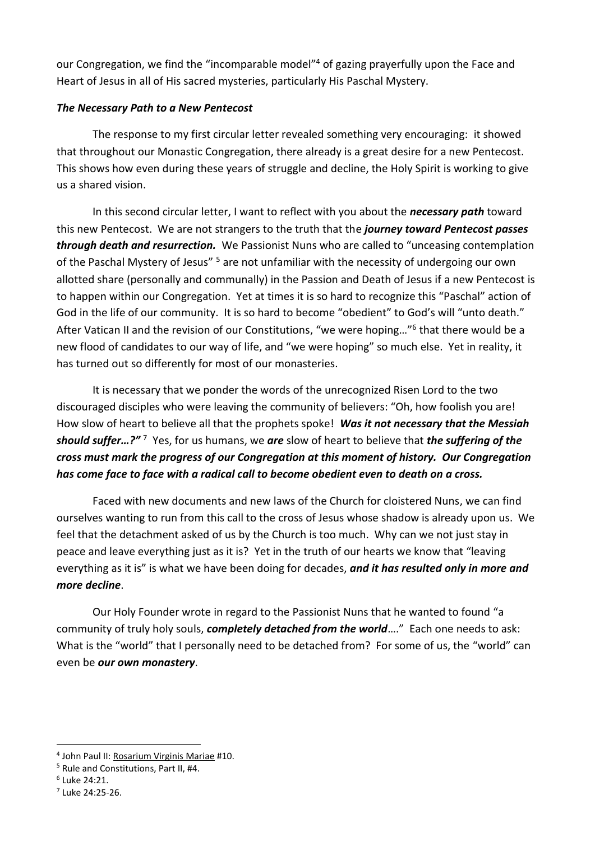our Congregation, we find the "incomparable model"<sup>4</sup> of gazing prayerfully upon the Face and Heart of Jesus in all of His sacred mysteries, particularly His Paschal Mystery.

## *The Necessary Path to a New Pentecost*

The response to my first circular letter revealed something very encouraging: it showed that throughout our Monastic Congregation, there already is a great desire for a new Pentecost. This shows how even during these years of struggle and decline, the Holy Spirit is working to give us a shared vision.

In this second circular letter, I want to reflect with you about the *necessary path* toward this new Pentecost. We are not strangers to the truth that the *journey toward Pentecost passes through death and resurrection.* We Passionist Nuns who are called to "unceasing contemplation of the Paschal Mystery of Jesus" <sup>5</sup> are not unfamiliar with the necessity of undergoing our own allotted share (personally and communally) in the Passion and Death of Jesus if a new Pentecost is to happen within our Congregation. Yet at times it is so hard to recognize this "Paschal" action of God in the life of our community. It is so hard to become "obedient" to God's will "unto death." After Vatican II and the revision of our Constitutions, "we were hoping..."<sup>6</sup> that there would be a new flood of candidates to our way of life, and "we were hoping" so much else. Yet in reality, it has turned out so differently for most of our monasteries.

It is necessary that we ponder the words of the unrecognized Risen Lord to the two discouraged disciples who were leaving the community of believers: "Oh, how foolish you are! How slow of heart to believe all that the prophets spoke! *Was it not necessary that the Messiah should suffer…?"* <sup>7</sup> Yes, for us humans, we *are* slow of heart to believe that *the suffering of the cross must mark the progress of our Congregation at this moment of history. Our Congregation has come face to face with a radical call to become obedient even to death on a cross.* 

Faced with new documents and new laws of the Church for cloistered Nuns, we can find ourselves wanting to run from this call to the cross of Jesus whose shadow is already upon us. We feel that the detachment asked of us by the Church is too much. Why can we not just stay in peace and leave everything just as it is? Yet in the truth of our hearts we know that "leaving everything as it is" is what we have been doing for decades, *and it has resulted only in more and more decline*.

Our Holy Founder wrote in regard to the Passionist Nuns that he wanted to found "a community of truly holy souls, *completely detached from the world*…." Each one needs to ask: What is the "world" that I personally need to be detached from? For some of us, the "world" can even be *our own monastery*.

<sup>4</sup> John Paul II: Rosarium Virginis Mariae #10.

<sup>5</sup> Rule and Constitutions, Part II, #4.

<sup>6</sup> Luke 24:21.

 $<sup>7</sup>$  Luke 24:25-26.</sup>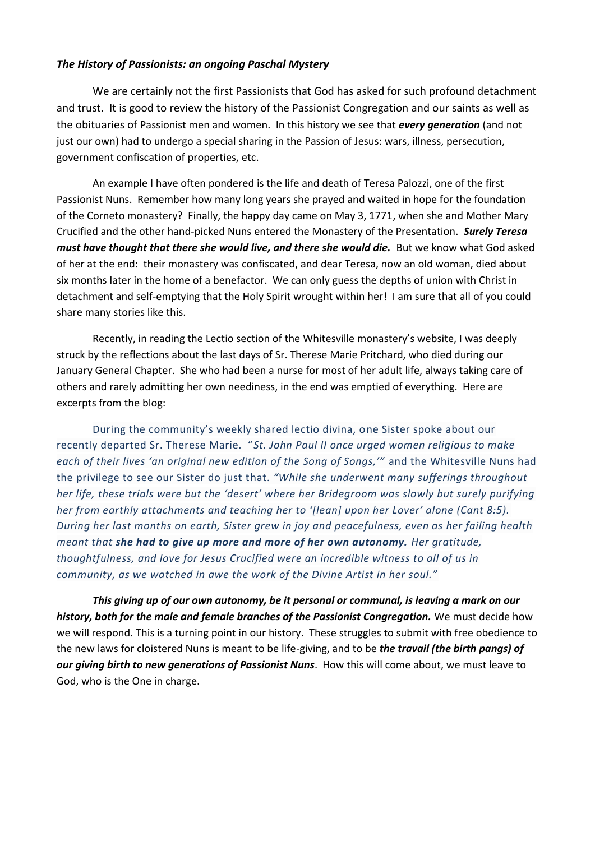## *The History of Passionists: an ongoing Paschal Mystery*

We are certainly not the first Passionists that God has asked for such profound detachment and trust. It is good to review the history of the Passionist Congregation and our saints as well as the obituaries of Passionist men and women. In this history we see that *every generation* (and not just our own) had to undergo a special sharing in the Passion of Jesus: wars, illness, persecution, government confiscation of properties, etc.

An example I have often pondered is the life and death of Teresa Palozzi, one of the first Passionist Nuns. Remember how many long years she prayed and waited in hope for the foundation of the Corneto monastery? Finally, the happy day came on May 3, 1771, when she and Mother Mary Crucified and the other hand-picked Nuns entered the Monastery of the Presentation. *Surely Teresa must have thought that there she would live, and there she would die.* But we know what God asked of her at the end: their monastery was confiscated, and dear Teresa, now an old woman, died about six months later in the home of a benefactor. We can only guess the depths of union with Christ in detachment and self-emptying that the Holy Spirit wrought within her! I am sure that all of you could share many stories like this.

Recently, in reading the Lectio section of the Whitesville monastery's website, I was deeply struck by the reflections about the last days of Sr. Therese Marie Pritchard, who died during our January General Chapter. She who had been a nurse for most of her adult life, always taking care of others and rarely admitting her own neediness, in the end was emptied of everything. Here are excerpts from the blog:

During the community's weekly shared lectio divina, one Sister spoke about our recently departed Sr. Therese Marie. "*St. John Paul II once urged women religious to make each of their lives 'an original new edition of the Song of Songs,'"* and the Whitesville Nuns had the privilege to see our Sister do just that. *"While she underwent many sufferings throughout her life, these trials were but the 'desert' where her Bridegroom was slowly but surely purifying her from earthly attachments and teaching her to '[lean] upon her Lover' alone (Cant 8:5). During her last months on earth, Sister grew in joy and peacefulness, even as her failing health meant that she had to give up more and more of her own autonomy. Her gratitude, thoughtfulness, and love for Jesus Crucified were an incredible witness to all of us in community, as we watched in awe the work of the Divine Artist in her soul."*

*This giving up of our own autonomy, be it personal or communal, is leaving a mark on our history, both for the male and female branches of the Passionist Congregation.* We must decide how we will respond. This is a turning point in our history. These struggles to submit with free obedience to the new laws for cloistered Nuns is meant to be life-giving, and to be *the travail (the birth pangs) of our giving birth to new generations of Passionist Nuns*. How this will come about, we must leave to God, who is the One in charge.